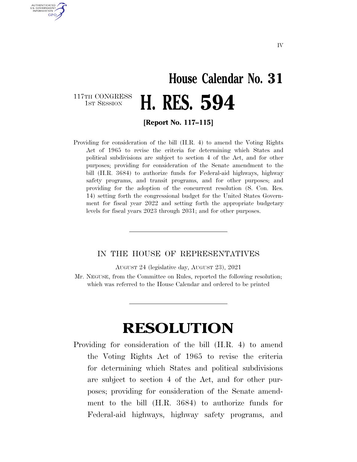## **House Calendar No. 31**  117TH CONGRESS<br>1st Session H. RES. 594

**[Report No. 117–115]** 

AUTHENTICATED U.S. GOVERNMENT **GPO** 

> Providing for consideration of the bill (H.R. 4) to amend the Voting Rights Act of 1965 to revise the criteria for determining which States and political subdivisions are subject to section 4 of the Act, and for other purposes; providing for consideration of the Senate amendment to the bill (H.R. 3684) to authorize funds for Federal-aid highways, highway safety programs, and transit programs, and for other purposes; and providing for the adoption of the concurrent resolution (S. Con. Res. 14) setting forth the congressional budget for the United States Government for fiscal year 2022 and setting forth the appropriate budgetary levels for fiscal years 2023 through 2031; and for other purposes.

## IN THE HOUSE OF REPRESENTATIVES

AUGUST 24 (legislative day, AUGUST 23), 2021

Mr. NEGUSE, from the Committee on Rules, reported the following resolution; which was referred to the House Calendar and ordered to be printed

## **RESOLUTION**

Providing for consideration of the bill (H.R. 4) to amend the Voting Rights Act of 1965 to revise the criteria for determining which States and political subdivisions are subject to section 4 of the Act, and for other purposes; providing for consideration of the Senate amendment to the bill (H.R. 3684) to authorize funds for Federal-aid highways, highway safety programs, and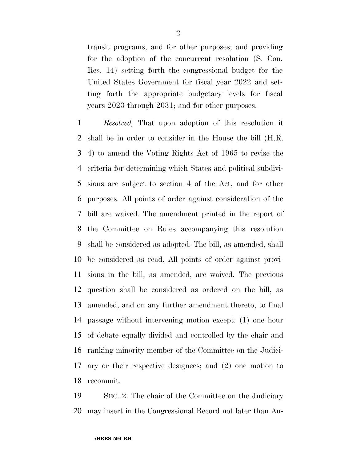transit programs, and for other purposes; and providing for the adoption of the concurrent resolution (S. Con. Res. 14) setting forth the congressional budget for the United States Government for fiscal year 2022 and setting forth the appropriate budgetary levels for fiscal years 2023 through 2031; and for other purposes.

 *Resolved,* That upon adoption of this resolution it shall be in order to consider in the House the bill (H.R. 4) to amend the Voting Rights Act of 1965 to revise the criteria for determining which States and political subdivi- sions are subject to section 4 of the Act, and for other purposes. All points of order against consideration of the bill are waived. The amendment printed in the report of the Committee on Rules accompanying this resolution shall be considered as adopted. The bill, as amended, shall be considered as read. All points of order against provi- sions in the bill, as amended, are waived. The previous question shall be considered as ordered on the bill, as amended, and on any further amendment thereto, to final passage without intervening motion except: (1) one hour of debate equally divided and controlled by the chair and ranking minority member of the Committee on the Judici- ary or their respective designees; and (2) one motion to recommit.

 SEC. 2. The chair of the Committee on the Judiciary may insert in the Congressional Record not later than Au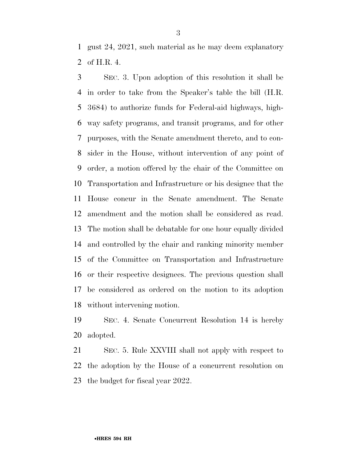gust 24, 2021, such material as he may deem explanatory of H.R. 4.

 SEC. 3. Upon adoption of this resolution it shall be in order to take from the Speaker's table the bill (H.R. 3684) to authorize funds for Federal-aid highways, high- way safety programs, and transit programs, and for other purposes, with the Senate amendment thereto, and to con- sider in the House, without intervention of any point of order, a motion offered by the chair of the Committee on Transportation and Infrastructure or his designee that the House concur in the Senate amendment. The Senate amendment and the motion shall be considered as read. The motion shall be debatable for one hour equally divided and controlled by the chair and ranking minority member of the Committee on Transportation and Infrastructure or their respective designees. The previous question shall be considered as ordered on the motion to its adoption without intervening motion.

 SEC. 4. Senate Concurrent Resolution 14 is hereby adopted.

 SEC. 5. Rule XXVIII shall not apply with respect to the adoption by the House of a concurrent resolution on the budget for fiscal year 2022.